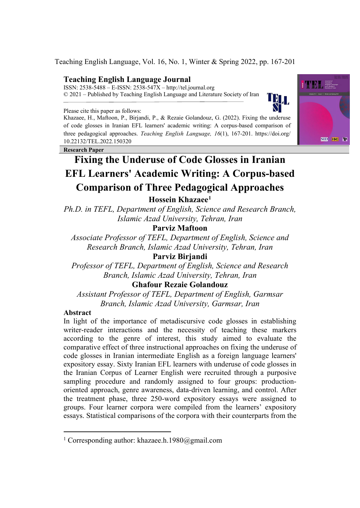Teaching English Language, Vol. 16, No. 1, Winter & Spring 2022, pp. 167-201

# **Teaching English Language Journal**

ISSN: 2538-5488 – E-ISSN: 2538-547X – http://tel.journal.org © 2021 – Published by Teaching English Language and Literature Society of Iran

Please cite this paper as follows:

Khazaee, H., Maftoon, P., Birjandi, P., & Rezaie Golandouz, G. (2022). Fixing the underuse of code glosses in Iranian EFL learners' academic writing: A corpus-based comparison of three pedagogical approaches. *Teaching English Language, 16*(1), 167-201. https://doi.org/ 10.22132/TEL.2022.150320

**Research Paper**



TBL.

# **Fixing the Underuse of Code Glosses in Iranian EFL Learners' Academic Writing: A Corpus-based Comparison of Three Pedagogical Approaches**

**Hossein Khazaee[1](#page-0-0)**

*Ph.D. in TEFL, Department of English, Science and Research Branch, Islamic Azad University, Tehran, Iran* 

**Parviz Maftoon** 

*Associate Professor of TEFL, Department of English, Science and Research Branch, Islamic Azad University, Tehran, Iran*

**Parviz Birjandi** 

*Professor of TEFL, Department of English, Science and Research Branch, Islamic Azad University, Tehran, Iran*

**Ghafour Rezaie Golandouz** 

*Assistant Professor of TEFL, Department of English, Garmsar Branch, Islamic Azad University, Garmsar, Iran*

# **Abstract**

In light of the importance of metadiscursive code glosses in establishing writer-reader interactions and the necessity of teaching these markers according to the genre of interest, this study aimed to evaluate the comparative effect of three instructional approaches on fixing the underuse of code glosses in Iranian intermediate English as a foreign language learners' expository essay. Sixty Iranian EFL learners with underuse of code glosses in the Iranian Corpus of Learner English were recruited through a purposive sampling procedure and randomly assigned to four groups: productionoriented approach, genre awareness, data-driven learning, and control. After the treatment phase, three 250-word expository essays were assigned to groups. Four learner corpora were compiled from the learners' expository essays. Statistical comparisons of the corpora with their counterparts from the

<span id="page-0-0"></span><sup>&</sup>lt;sup>1</sup> Corresponding author: khazaee.h.1980@gmail.com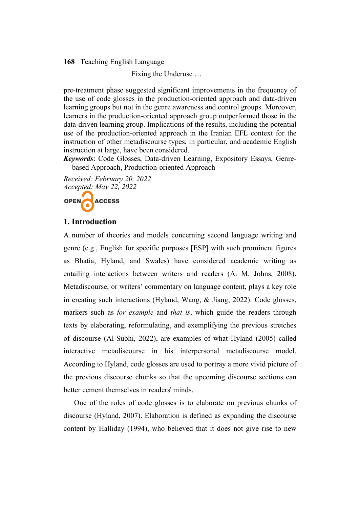Fixing the Underuse …

pre-treatment phase suggested significant improvements in the frequency of the use of code glosses in the production-oriented approach and data-driven learning groups but not in the genre awareness and control groups. Moreover, learners in the production-oriented approach group outperformed those in the data-driven learning group. Implications of the results, including the potential use of the production-oriented approach in the Iranian EFL context for the instruction of other metadiscourse types, in particular, and academic English instruction at large, have been considered.

*Keywords*: Code Glosses, Data-driven Learning, Expository Essays, Genrebased Approach, Production-oriented Approach

*Received: February 20, 2022 Accepted: May 22, 2022*



# **1. Introduction**

A number of theories and models concerning second language writing and genre (e.g., English for specific purposes [ESP] with such prominent figures as Bhatia, Hyland, and Swales) have considered academic writing as entailing interactions between writers and readers (A. M. Johns, 2008). Metadiscourse, or writers' commentary on language content, plays a key role in creating such interactions (Hyland, Wang, & Jiang, 2022). Code glosses, markers such as *for example* and *that is*, which guide the readers through texts by elaborating, reformulating, and exemplifying the previous stretches of discourse (Al-Subhi, 2022), are examples of what Hyland (2005) called interactive metadiscourse in his interpersonal metadiscourse model. According to Hyland, code glosses are used to portray a more vivid picture of the previous discourse chunks so that the upcoming discourse sections can better cement themselves in readers' minds.

One of the roles of code glosses is to elaborate on previous chunks of discourse (Hyland, 2007). Elaboration is defined as expanding the discourse content by Halliday (1994), who believed that it does not give rise to new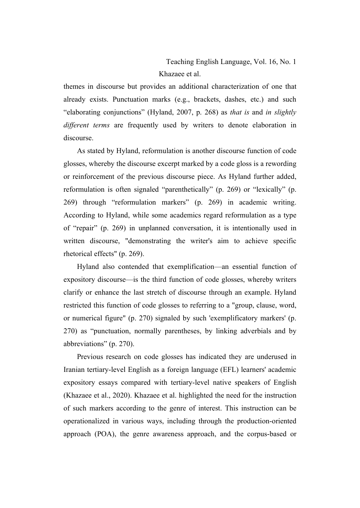themes in discourse but provides an additional characterization of one that already exists. Punctuation marks (e.g., brackets, dashes, etc.) and such "elaborating conjunctions" (Hyland, 2007, p. 268) as *that is* and *in slightly different terms* are frequently used by writers to denote elaboration in discourse.

As stated by Hyland, reformulation is another discourse function of code glosses, whereby the discourse excerpt marked by a code gloss is a rewording or reinforcement of the previous discourse piece. As Hyland further added, reformulation is often signaled "parenthetically" (p. 269) or "lexically" (p. 269) through "reformulation markers" (p. 269) in academic writing. According to Hyland, while some academics regard reformulation as a type of "repair" (p. 269) in unplanned conversation, it is intentionally used in written discourse, "demonstrating the writer's aim to achieve specific rhetorical effects" (p. 269).

Hyland also contended that exemplification—an essential function of expository discourse—is the third function of code glosses, whereby writers clarify or enhance the last stretch of discourse through an example. Hyland restricted this function of code glosses to referring to a "group, clause, word, or numerical figure" (p. 270) signaled by such 'exemplificatory markers' (p. 270) as "punctuation, normally parentheses, by linking adverbials and by abbreviations" (p. 270).

Previous research on code glosses has indicated they are underused in Iranian tertiary-level English as a foreign language (EFL) learners' academic expository essays compared with tertiary-level native speakers of English (Khazaee et al., 2020). Khazaee et al. highlighted the need for the instruction of such markers according to the genre of interest. This instruction can be operationalized in various ways, including through the production-oriented approach (POA), the genre awareness approach, and the corpus-based or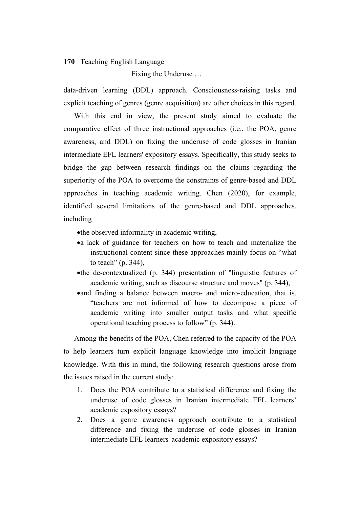Fixing the Underuse …

data-driven learning (DDL) approach. Consciousness-raising tasks and explicit teaching of genres (genre acquisition) are other choices in this regard.

With this end in view, the present study aimed to evaluate the comparative effect of three instructional approaches (i.e., the POA, genre awareness, and DDL) on fixing the underuse of code glosses in Iranian intermediate EFL learners' expository essays. Specifically, this study seeks to bridge the gap between research findings on the claims regarding the superiority of the POA to overcome the constraints of genre-based and DDL approaches in teaching academic writing. Chen (2020), for example, identified several limitations of the genre-based and DDL approaches, including

•the observed informality in academic writing,

- •a lack of guidance for teachers on how to teach and materialize the instructional content since these approaches mainly focus on "what to teach" (p. 344),
- •the de-contextualized (p. 344) presentation of "linguistic features of academic writing, such as discourse structure and moves" (p. 344),
- •and finding a balance between macro- and micro-education, that is, "teachers are not informed of how to decompose a piece of academic writing into smaller output tasks and what specific operational teaching process to follow" (p. 344).

Among the benefits of the POA, Chen referred to the capacity of the POA to help learners turn explicit language knowledge into implicit language knowledge. With this in mind, the following research questions arose from the issues raised in the current study:

- 1. Does the POA contribute to a statistical difference and fixing the underuse of code glosses in Iranian intermediate EFL learners' academic expository essays?
- 2. Does a genre awareness approach contribute to a statistical difference and fixing the underuse of code glosses in Iranian intermediate EFL learners' academic expository essays?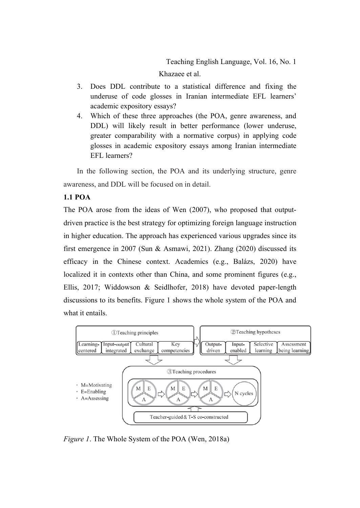Khazaee et al.

- 3. Does DDL contribute to a statistical difference and fixing the underuse of code glosses in Iranian intermediate EFL learners' academic expository essays?
- 4. Which of these three approaches (the POA, genre awareness, and DDL) will likely result in better performance (lower underuse, greater comparability with a normative corpus) in applying code glosses in academic expository essays among Iranian intermediate EFL learners?

In the following section, the POA and its underlying structure, genre awareness, and DDL will be focused on in detail.

# **1.1 POA**

The POA arose from the ideas of Wen (2007), who proposed that outputdriven practice is the best strategy for optimizing foreign language instruction in higher education. The approach has experienced various upgrades since its first emergence in 2007 (Sun & Asmawi, 2021). Zhang (2020) discussed its efficacy in the Chinese context. Academics (e.g., Balázs, 2020) have localized it in contexts other than China, and some prominent figures (e.g., Ellis, 2017; Widdowson & Seidlhofer, 2018) have devoted paper-length discussions to its benefits. Figure 1 shows the whole system of the POA and what it entails.



*Figure 1*. The Whole System of the POA (Wen, 2018a)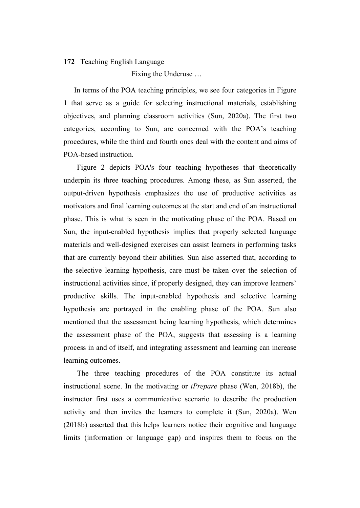Fixing the Underuse …

In terms of the POA teaching principles, we see four categories in Figure 1 that serve as a guide for selecting instructional materials, establishing objectives, and planning classroom activities (Sun, 2020a). The first two categories, according to Sun, are concerned with the POA's teaching procedures, while the third and fourth ones deal with the content and aims of POA-based instruction.

Figure 2 depicts POA's four teaching hypotheses that theoretically underpin its three teaching procedures. Among these, as Sun asserted, the output-driven hypothesis emphasizes the use of productive activities as motivators and final learning outcomes at the start and end of an instructional phase. This is what is seen in the motivating phase of the POA. Based on Sun, the input-enabled hypothesis implies that properly selected language materials and well-designed exercises can assist learners in performing tasks that are currently beyond their abilities. Sun also asserted that, according to the selective learning hypothesis, care must be taken over the selection of instructional activities since, if properly designed, they can improve learners' productive skills. The input-enabled hypothesis and selective learning hypothesis are portrayed in the enabling phase of the POA. Sun also mentioned that the assessment being learning hypothesis, which determines the assessment phase of the POA, suggests that assessing is a learning process in and of itself, and integrating assessment and learning can increase learning outcomes.

The three teaching procedures of the POA constitute its actual instructional scene. In the motivating or *iPrepare* phase (Wen, 2018b), the instructor first uses a communicative scenario to describe the production activity and then invites the learners to complete it (Sun, 2020a). Wen (2018b) asserted that this helps learners notice their cognitive and language limits (information or language gap) and inspires them to focus on the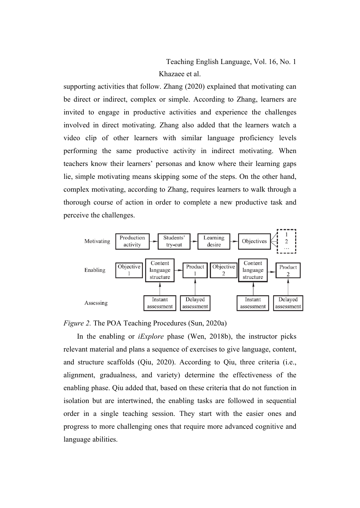Teaching English Language, Vol. 16, No. 1 Khazaee et al.

supporting activities that follow. Zhang (2020) explained that motivating can be direct or indirect, complex or simple. According to Zhang, learners are invited to engage in productive activities and experience the challenges involved in direct motivating. Zhang also added that the learners watch a video clip of other learners with similar language proficiency levels performing the same productive activity in indirect motivating. When teachers know their learners' personas and know where their learning gaps lie, simple motivating means skipping some of the steps. On the other hand, complex motivating, according to Zhang, requires learners to walk through a thorough course of action in order to complete a new productive task and perceive the challenges.



*Figure 2.* The POA Teaching Procedures (Sun, 2020a)

In the enabling or *iExplore* phase (Wen, 2018b), the instructor picks relevant material and plans a sequence of exercises to give language, content, and structure scaffolds (Qiu, 2020). According to Qiu, three criteria (i.e., alignment, gradualness, and variety) determine the effectiveness of the enabling phase. Qiu added that, based on these criteria that do not function in isolation but are intertwined, the enabling tasks are followed in sequential order in a single teaching session. They start with the easier ones and progress to more challenging ones that require more advanced cognitive and language abilities.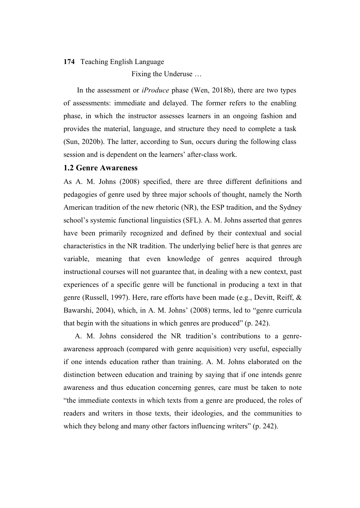Fixing the Underuse …

In the assessment or *iProduce* phase (Wen, 2018b), there are two types of assessments: immediate and delayed. The former refers to the enabling phase, in which the instructor assesses learners in an ongoing fashion and provides the material, language, and structure they need to complete a task (Sun, 2020b). The latter, according to Sun, occurs during the following class session and is dependent on the learners' after-class work.

#### **1.2 Genre Awareness**

As A. M. Johns (2008) specified, there are three different definitions and pedagogies of genre used by three major schools of thought, namely the North American tradition of the new rhetoric (NR), the ESP tradition, and the Sydney school's systemic functional linguistics (SFL). A. M. Johns asserted that genres have been primarily recognized and defined by their contextual and social characteristics in the NR tradition. The underlying belief here is that genres are variable, meaning that even knowledge of genres acquired through instructional courses will not guarantee that, in dealing with a new context, past experiences of a specific genre will be functional in producing a text in that genre (Russell, 1997). Here, rare efforts have been made (e.g., Devitt, Reiff, & Bawarshi, 2004), which, in A. M. Johns' (2008) terms, led to "genre curricula that begin with the situations in which genres are produced" (p. 242).

 A. M. Johns considered the NR tradition's contributions to a genreawareness approach (compared with genre acquisition) very useful, especially if one intends education rather than training. A. M. Johns elaborated on the distinction between education and training by saying that if one intends genre awareness and thus education concerning genres, care must be taken to note "the immediate contexts in which texts from a genre are produced, the roles of readers and writers in those texts, their ideologies, and the communities to which they belong and many other factors influencing writers" (p. 242).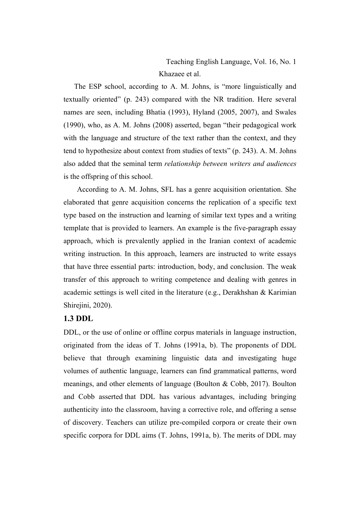Teaching English Language, Vol. 16, No. 1 Khazaee et al.

The ESP school, according to A. M. Johns, is "more linguistically and textually oriented" (p. 243) compared with the NR tradition. Here several names are seen, including Bhatia (1993), Hyland (2005, 2007), and Swales (1990), who, as A. M. Johns (2008) asserted, began "their pedagogical work with the language and structure of the text rather than the context, and they tend to hypothesize about context from studies of texts" (p. 243). A. M. Johns also added that the seminal term *relationship between writers and audiences* is the offspring of this school.

According to A. M. Johns, SFL has a genre acquisition orientation. She elaborated that genre acquisition concerns the replication of a specific text type based on the instruction and learning of similar text types and a writing template that is provided to learners. An example is the five-paragraph essay approach, which is prevalently applied in the Iranian context of academic writing instruction. In this approach, learners are instructed to write essays that have three essential parts: introduction, body, and conclusion. The weak transfer of this approach to writing competence and dealing with genres in academic settings is well cited in the literature (e.g., Derakhshan & Karimian Shirejini, 2020).

# **1.3 DDL**

DDL, or the use of online or offline corpus materials in language instruction, originated from the ideas of T. Johns (1991a, b). The proponents of DDL believe that through examining linguistic data and investigating huge volumes of authentic language, learners can find grammatical patterns, word meanings, and other elements of language (Boulton & Cobb, 2017). Boulton and Cobb asserted that DDL has various advantages, including bringing authenticity into the classroom, having a corrective role, and offering a sense of discovery. Teachers can utilize pre-compiled corpora or create their own specific corpora for DDL aims (T. Johns, 1991a, b). The merits of DDL may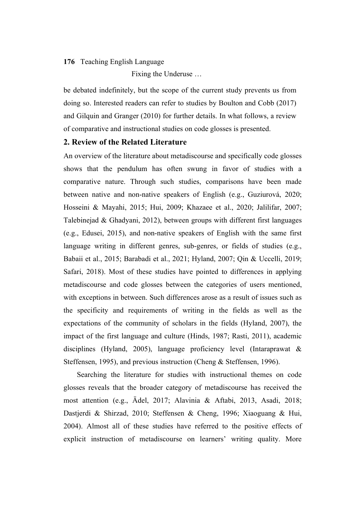Fixing the Underuse …

be debated indefinitely, but the scope of the current study prevents us from doing so. Interested readers can refer to studies by Boulton and Cobb (2017) and Gilquin and Granger (2010) for further details. In what follows, a review of comparative and instructional studies on code glosses is presented.

### **2. Review of the Related Literature**

An overview of the literature about metadiscourse and specifically code glosses shows that the pendulum has often swung in favor of studies with a comparative nature. Through such studies, comparisons have been made between native and non-native speakers of English (e.g., Guziurová, 2020; Hosseini & Mayahi, 2015; Hui, 2009; Khazaee et al., 2020; Jalilifar, 2007; Talebinejad & Ghadyani, 2012), between groups with different first languages (e.g., Edusei, 2015), and non-native speakers of English with the same first language writing in different genres, sub-genres, or fields of studies (e.g., Babaii et al., 2015; Barabadi et al., 2021; Hyland, 2007; Qin & Uccelli, 2019; Safari, 2018). Most of these studies have pointed to differences in applying metadiscourse and code glosses between the categories of users mentioned, with exceptions in between. Such differences arose as a result of issues such as the specificity and requirements of writing in the fields as well as the expectations of the community of scholars in the fields (Hyland, 2007), the impact of the first language and culture (Hinds, 1987; Rasti, 2011), academic disciplines (Hyland, 2005), language proficiency level (Intaraprawat & Steffensen, 1995), and previous instruction (Cheng & Steffensen, 1996).

Searching the literature for studies with instructional themes on code glosses reveals that the broader category of metadiscourse has received the most attention (e.g., Ädel, 2017; Alavinia & Aftabi, 2013, Asadi, 2018; Dastjerdi & Shirzad, 2010; Steffensen & Cheng, 1996; Xiaoguang & Hui, 2004). Almost all of these studies have referred to the positive effects of explicit instruction of metadiscourse on learners' writing quality. More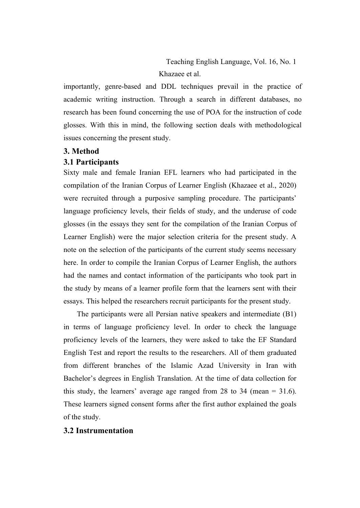importantly, genre-based and DDL techniques prevail in the practice of academic writing instruction. Through a search in different databases, no research has been found concerning the use of POA for the instruction of code glosses. With this in mind, the following section deals with methodological issues concerning the present study.

#### **3. Method**

# **3.1 Participants**

Sixty male and female Iranian EFL learners who had participated in the compilation of the Iranian Corpus of Learner English (Khazaee et al., 2020) were recruited through a purposive sampling procedure. The participants' language proficiency levels, their fields of study, and the underuse of code glosses (in the essays they sent for the compilation of the Iranian Corpus of Learner English) were the major selection criteria for the present study. A note on the selection of the participants of the current study seems necessary here. In order to compile the Iranian Corpus of Learner English, the authors had the names and contact information of the participants who took part in the study by means of a learner profile form that the learners sent with their essays. This helped the researchers recruit participants for the present study.

The participants were all Persian native speakers and intermediate (B1) in terms of language proficiency level. In order to check the language proficiency levels of the learners, they were asked to take the EF Standard English Test and report the results to the researchers. All of them graduated from different branches of the Islamic Azad University in Iran with Bachelor's degrees in English Translation. At the time of data collection for this study, the learners' average age ranged from 28 to 34 (mean = 31.6). These learners signed consent forms after the first author explained the goals of the study.

#### **3.2 Instrumentation**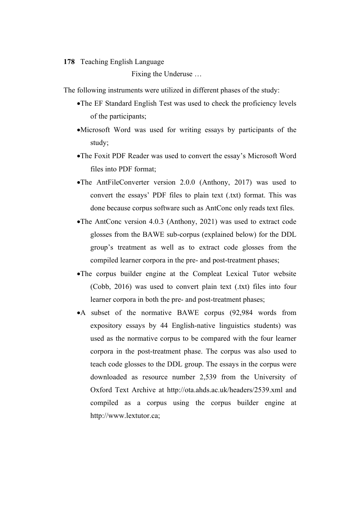Fixing the Underuse …

The following instruments were utilized in different phases of the study:

- •The EF Standard English Test was used to check the proficiency levels of the participants;
- •Microsoft Word was used for writing essays by participants of the study;
- •The Foxit PDF Reader was used to convert the essay's Microsoft Word files into PDF format;
- •The AntFileConverter version 2.0.0 (Anthony, 2017) was used to convert the essays' PDF files to plain text (.txt) format. This was done because corpus software such as AntConc only reads text files.
- •The AntConc version 4.0.3 (Anthony, 2021) was used to extract code glosses from the BAWE sub-corpus (explained below) for the DDL group's treatment as well as to extract code glosses from the compiled learner corpora in the pre- and post-treatment phases;
- •The corpus builder engine at the Compleat Lexical Tutor website (Cobb, 2016) was used to convert plain text (.txt) files into four learner corpora in both the pre- and post-treatment phases;
- •A subset of the normative BAWE corpus (92,984 words from expository essays by 44 English-native linguistics students) was used as the normative corpus to be compared with the four learner corpora in the post-treatment phase. The corpus was also used to teach code glosses to the DDL group. The essays in the corpus were downloaded as resource number 2,539 from the University of Oxford Text Archive at http://ota.ahds.ac.uk/headers/2539.xml and compiled as a corpus using the corpus builder engine at http://www.lextutor.ca;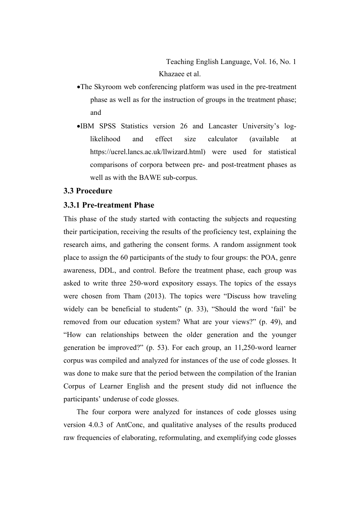- •The Skyroom web conferencing platform was used in the pre-treatment phase as well as for the instruction of groups in the treatment phase; and
- •IBM SPSS Statistics version 26 and Lancaster University's loglikelihood and effect size calculator (available at https://ucrel.lancs.ac.uk/llwizard.html) were used for statistical comparisons of corpora between pre- and post-treatment phases as well as with the BAWE sub-corpus.

# **3.3 Procedure**

# **3.3.1 Pre-treatment Phase**

This phase of the study started with contacting the subjects and requesting their participation, receiving the results of the proficiency test, explaining the research aims, and gathering the consent forms. A random assignment took place to assign the 60 participants of the study to four groups: the POA, genre awareness, DDL, and control. Before the treatment phase, each group was asked to write three 250-word expository essays. The topics of the essays were chosen from Tham (2013). The topics were "Discuss how traveling widely can be beneficial to students" (p. 33), "Should the word 'fail' be removed from our education system? What are your views?" (p. 49), and "How can relationships between the older generation and the younger generation be improved?" (p. 53). For each group, an 11,250-word learner corpus was compiled and analyzed for instances of the use of code glosses. It was done to make sure that the period between the compilation of the Iranian Corpus of Learner English and the present study did not influence the participants' underuse of code glosses.

 The four corpora were analyzed for instances of code glosses using version 4.0.3 of AntConc, and qualitative analyses of the results produced raw frequencies of elaborating, reformulating, and exemplifying code glosses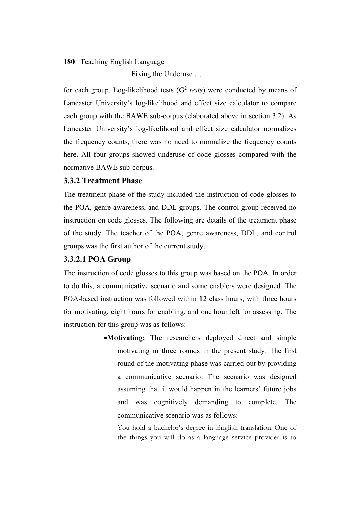Fixing the Underuse …

for each group. Log-likelihood tests  $(G<sup>2</sup> tests)$  were conducted by means of Lancaster University's log-likelihood and effect size calculator to compare each group with the BAWE sub-corpus (elaborated above in section 3.2). As Lancaster University's log-likelihood and effect size calculator normalizes the frequency counts, there was no need to normalize the frequency counts here. All four groups showed underuse of code glosses compared with the normative BAWE sub-corpus.

# **3.3.2 Treatment Phase**

The treatment phase of the study included the instruction of code glosses to the POA, genre awareness, and DDL groups. The control group received no instruction on code glosses. The following are details of the treatment phase of the study. The teacher of the POA, genre awareness, DDL, and control groups was the first author of the current study.

#### **3.3.2.1 POA Group**

The instruction of code glosses to this group was based on the POA. In order to do this, a communicative scenario and some enablers were designed. The POA-based instruction was followed within 12 class hours, with three hours for motivating, eight hours for enabling, and one hour left for assessing. The instruction for this group was as follows:

> •**Motivating:** The researchers deployed direct and simple motivating in three rounds in the present study. The first round of the motivating phase was carried out by providing a communicative scenario. The scenario was designed assuming that it would happen in the learners' future jobs and was cognitively demanding to complete. The communicative scenario was as follows:

You hold a bachelor's degree in English translation. One of the things you will do as a language service provider is to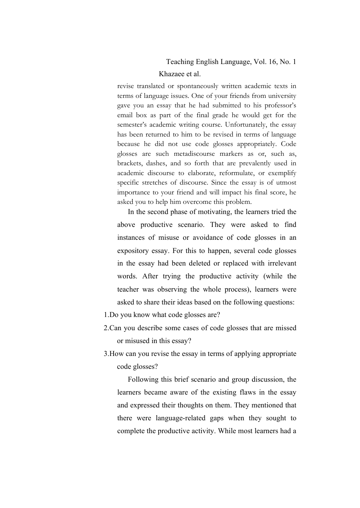#### Teaching English Language, Vol. 16, No. 1

#### Khazaee et al.

revise translated or spontaneously written academic texts in terms of language issues. One of your friends from university gave you an essay that he had submitted to his professor's email box as part of the final grade he would get for the semester's academic writing course. Unfortunately, the essay has been returned to him to be revised in terms of language because he did not use code glosses appropriately. Code glosses are such metadiscourse markers as or, such as, brackets, dashes, and so forth that are prevalently used in academic discourse to elaborate, reformulate, or exemplify specific stretches of discourse. Since the essay is of utmost importance to your friend and will impact his final score, he asked you to help him overcome this problem.

In the second phase of motivating, the learners tried the above productive scenario. They were asked to find instances of misuse or avoidance of code glosses in an expository essay. For this to happen, several code glosses in the essay had been deleted or replaced with irrelevant words. After trying the productive activity (while the teacher was observing the whole process), learners were asked to share their ideas based on the following questions:

- 1.Do you know what code glosses are?
- 2.Can you describe some cases of code glosses that are missed or misused in this essay?
- 3.How can you revise the essay in terms of applying appropriate code glosses?

Following this brief scenario and group discussion, the learners became aware of the existing flaws in the essay and expressed their thoughts on them. They mentioned that there were language-related gaps when they sought to complete the productive activity. While most learners had a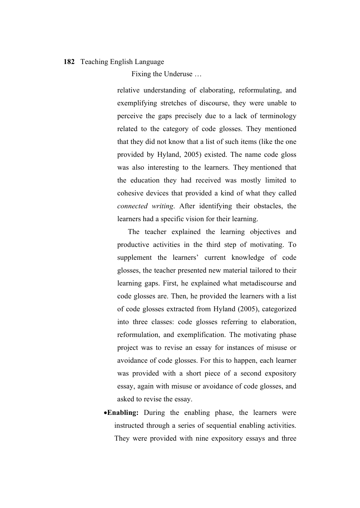Fixing the Underuse …

relative understanding of elaborating, reformulating, and exemplifying stretches of discourse, they were unable to perceive the gaps precisely due to a lack of terminology related to the category of code glosses. They mentioned that they did not know that a list of such items (like the one provided by Hyland, 2005) existed. The name code gloss was also interesting to the learners. They mentioned that the education they had received was mostly limited to cohesive devices that provided a kind of what they called *connected writing*. After identifying their obstacles, the learners had a specific vision for their learning.

The teacher explained the learning objectives and productive activities in the third step of motivating. To supplement the learners' current knowledge of code glosses, the teacher presented new material tailored to their learning gaps. First, he explained what metadiscourse and code glosses are. Then, he provided the learners with a list of code glosses extracted from Hyland (2005), categorized into three classes: code glosses referring to elaboration, reformulation, and exemplification. The motivating phase project was to revise an essay for instances of misuse or avoidance of code glosses. For this to happen, each learner was provided with a short piece of a second expository essay, again with misuse or avoidance of code glosses, and asked to revise the essay.

•**Enabling:** During the enabling phase, the learners were instructed through a series of sequential enabling activities. They were provided with nine expository essays and three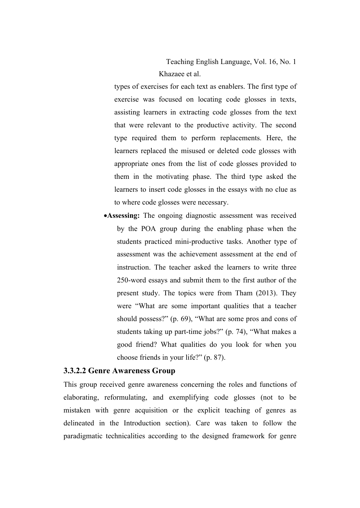Teaching English Language, Vol. 16, No. 1 Khazaee et al.

types of exercises for each text as enablers. The first type of exercise was focused on locating code glosses in texts, assisting learners in extracting code glosses from the text that were relevant to the productive activity. The second type required them to perform replacements. Here, the learners replaced the misused or deleted code glosses with appropriate ones from the list of code glosses provided to them in the motivating phase. The third type asked the learners to insert code glosses in the essays with no clue as to where code glosses were necessary.

•**Assessing:** The ongoing diagnostic assessment was received by the POA group during the enabling phase when the students practiced mini-productive tasks. Another type of assessment was the achievement assessment at the end of instruction. The teacher asked the learners to write three 250-word essays and submit them to the first author of the present study. The topics were from Tham (2013). They were "What are some important qualities that a teacher should possess?" (p. 69), "What are some pros and cons of students taking up part-time jobs?" (p. 74), "What makes a good friend? What qualities do you look for when you choose friends in your life?" (p. 87).

# **3.3.2.2 Genre Awareness Group**

This group received genre awareness concerning the roles and functions of elaborating, reformulating, and exemplifying code glosses (not to be mistaken with genre acquisition or the explicit teaching of genres as delineated in the Introduction section). Care was taken to follow the paradigmatic technicalities according to the designed framework for genre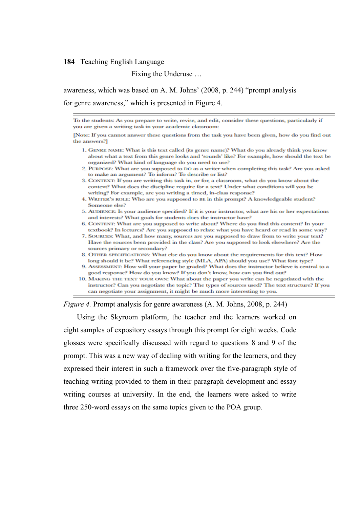Fixing the Underuse …

awareness, which was based on A. M. Johns' (2008, p. 244) "prompt analysis for genre awareness," which is presented in Figure 4.

To the students: As you prepare to write, revise, and edit, consider these questions, particularly if you are given a writing task in your academic classroom:

[Note: If you cannot answer these questions from the task you have been given, how do you find out the answers?]

- 1. GENRE NAME: What is this text called (its genre name)? What do you already think you know about what a text from this genre looks and 'sounds' like? For example, how should the text be organized? What kind of language do you need to use?
- 2. PURPOSE: What are you supposed to DO as a writer when completing this task? Are you asked to make an argument? To inform? To describe or list?
- 3. CONTEXT: If you are writing this task in, or for, a classroom, what do you know about the context? What does the discipline require for a text? Under what conditions will you be writing? For example, are you writing a timed, in-class response?
- 4. WRITER'S ROLE: Who are you supposed to BE in this prompt? A knowledgeable student? Someone else?
- 5. AUDIENCE: Is your audience specified? If it is your instructor, what are his or her expectations and interests? What goals for students does the instructor have?
- 6. CONTENT: What are you supposed to write about? Where do you find this content? In your textbook? In lectures? Are you supposed to relate what you have heard or read in some way?
- 7. SOURCES: What, and how many, sources are you supposed to draw from to write your text? Have the sources been provided in the class? Are you supposed to look elsewhere? Are the sources primary or secondary?
- 8. OTHER SPECIFICATIONS: What else do you know about the requirements for this text? How long should it be? What referencing style (MLA, APA) should you use? What font type?
- 9. ASSESSMENT: How will your paper be graded? What does the instructor believe is central to a good response? How do you know? If you don't know, how can you find out?
- 10. MAKING THE TEXT YOUR OWN: What about the paper you write can be negotiated with the instructor? Can you negotiate the topic? The types of sources used? The text structure? If you can negotiate your assignment, it might be much more interesting to you.

*Figure 4.* Prompt analysis for genre awareness (A. M. Johns, 2008, p. 244)

Using the Skyroom platform, the teacher and the learners worked on eight samples of expository essays through this prompt for eight weeks. Code glosses were specifically discussed with regard to questions 8 and 9 of the prompt. This was a new way of dealing with writing for the learners, and they expressed their interest in such a framework over the five-paragraph style of teaching writing provided to them in their paragraph development and essay writing courses at university. In the end, the learners were asked to write three 250-word essays on the same topics given to the POA group.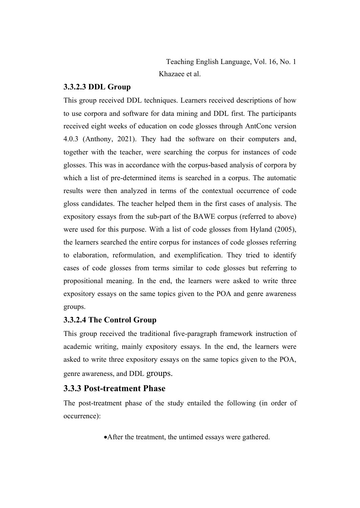Teaching English Language, Vol. 16, No. 1 Khazaee et al.

# **3.3.2.3 DDL Group**

This group received DDL techniques. Learners received descriptions of how to use corpora and software for data mining and DDL first. The participants received eight weeks of education on code glosses through AntConc version 4.0.3 (Anthony, 2021). They had the software on their computers and, together with the teacher, were searching the corpus for instances of code glosses. This was in accordance with the corpus-based analysis of corpora by which a list of pre-determined items is searched in a corpus. The automatic results were then analyzed in terms of the contextual occurrence of code gloss candidates. The teacher helped them in the first cases of analysis. The expository essays from the sub-part of the BAWE corpus (referred to above) were used for this purpose. With a list of code glosses from Hyland (2005), the learners searched the entire corpus for instances of code glosses referring to elaboration, reformulation, and exemplification. They tried to identify cases of code glosses from terms similar to code glosses but referring to propositional meaning. In the end, the learners were asked to write three expository essays on the same topics given to the POA and genre awareness groups.

# **3.3.2.4 The Control Group**

This group received the traditional five-paragraph framework instruction of academic writing, mainly expository essays. In the end, the learners were asked to write three expository essays on the same topics given to the POA, genre awareness, and DDL groups.

# **3.3.3 Post-treatment Phase**

The post-treatment phase of the study entailed the following (in order of occurrence):

•After the treatment, the untimed essays were gathered.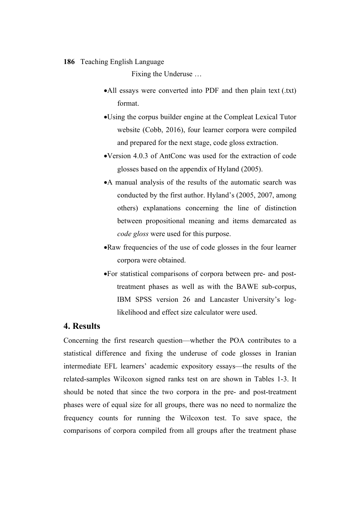Fixing the Underuse …

- •All essays were converted into PDF and then plain text (.txt) format.
- •Using the corpus builder engine at the Compleat Lexical Tutor website (Cobb, 2016), four learner corpora were compiled and prepared for the next stage, code gloss extraction.
- •Version 4.0.3 of AntConc was used for the extraction of code glosses based on the appendix of Hyland (2005).
- •A manual analysis of the results of the automatic search was conducted by the first author. Hyland's (2005, 2007, among others) explanations concerning the line of distinction between propositional meaning and items demarcated as *code gloss* were used for this purpose.
- •Raw frequencies of the use of code glosses in the four learner corpora were obtained.
- •For statistical comparisons of corpora between pre- and posttreatment phases as well as with the BAWE sub-corpus, IBM SPSS version 26 and Lancaster University's loglikelihood and effect size calculator were used.

# **4. Results**

Concerning the first research question—whether the POA contributes to a statistical difference and fixing the underuse of code glosses in Iranian intermediate EFL learners' academic expository essays—the results of the related-samples Wilcoxon signed ranks test on are shown in Tables 1-3. It should be noted that since the two corpora in the pre- and post-treatment phases were of equal size for all groups, there was no need to normalize the frequency counts for running the Wilcoxon test. To save space, the comparisons of corpora compiled from all groups after the treatment phase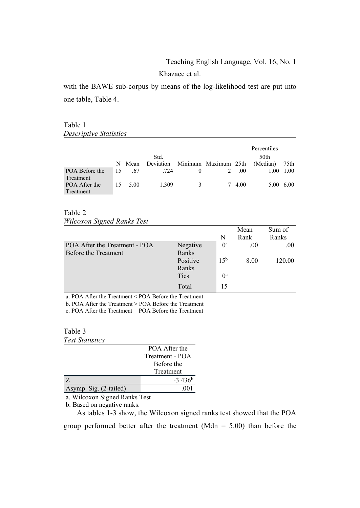# Teaching English Language, Vol. 16, No. 1

Khazaee et al.

with the BAWE sub-corpus by means of the log-likelihood test are put into one table, Table 4.

#### Table 1 *Descriptive Statistics*

|                |    |      |           |   |                      |      | Percentiles |           |
|----------------|----|------|-----------|---|----------------------|------|-------------|-----------|
|                |    |      | Std.      |   |                      |      | 50th        |           |
|                | N  | Mean | Deviation |   | Minimum Maximum 25th |      | (Median)    | 75th      |
| POA Before the | 15 | .67  | .724      |   |                      | .00  | 1.00        | 1.00      |
| Treatment      |    |      |           |   |                      |      |             |           |
| POA After the  |    | 5.00 | 1.309     | 3 | 7                    | 4.00 |             | 5.00 6.00 |
| Treatment      |    |      |           |   |                      |      |             |           |

#### Table 2

*Wilcoxon Signed Ranks Test*

|                               |          |                  | Mean | Sum of |
|-------------------------------|----------|------------------|------|--------|
|                               |          | N                | Rank | Ranks  |
| POA After the Treatment - POA | Negative | $^{0a}$          | .00  | .00    |
| Before the Treatment          | Ranks    |                  |      |        |
|                               | Positive | 1.5 <sup>b</sup> | 8.00 | 120.00 |
|                               | Ranks    |                  |      |        |
|                               | Ties     | 0 <sup>c</sup>   |      |        |
|                               | Total    | 15               |      |        |

a. POA After the Treatment < POA Before the Treatment b. POA After the Treatment > POA Before the Treatment

c. POA After the Treatment = POA Before the Treatment

#### Table 3 *Test Statistics*

|                        | POA After the   |
|------------------------|-----------------|
|                        | Treatment - POA |
|                        | Before the      |
|                        | Treatment       |
|                        | $-3.436^b$      |
| Asymp. Sig. (2-tailed) | -001            |

a. Wilcoxon Signed Ranks Test

b. Based on negative ranks.

As tables 1-3 show, the Wilcoxon signed ranks test showed that the POA group performed better after the treatment (Mdn =  $5.00$ ) than before the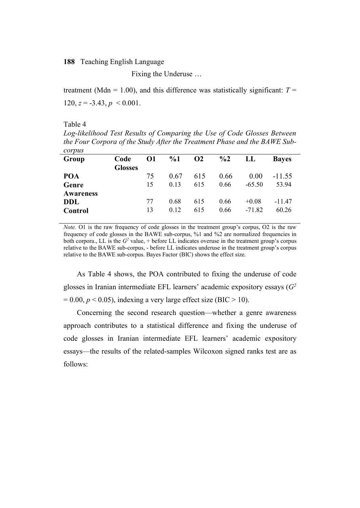Fixing the Underuse …

treatment (Mdn = 1.00), and this difference was statistically significant:  $T =$ 120,  $z = -3.43$ ,  $p \le 0.001$ .

Table 4

*Log-likelihood Test Results of Comparing the Use of Code Glosses Between the Four Corpora of the Study After the Treatment Phase and the BAWE Subcorpus*

| <u>con bas</u>   |                |          |       |                      |               |          |              |
|------------------|----------------|----------|-------|----------------------|---------------|----------|--------------|
| Group            | Code           | $\Omega$ | $\%1$ | <b>O<sub>2</sub></b> | $\frac{6}{2}$ | LL       | <b>Baves</b> |
|                  | <b>Glosses</b> |          |       |                      |               |          |              |
| POA              |                | 75       | 0.67  | 615                  | 0.66          | 0.00     | $-11.55$     |
| Genre            |                | 15       | 0.13  | 615                  | 0.66          | $-65.50$ | 53.94        |
| <b>Awareness</b> |                |          |       |                      |               |          |              |
| DDL              |                | 77       | 0.68  | 615                  | 0.66          | $+0.08$  | $-11.47$     |
| Control          |                | 13       | 0.12  | 615                  | 0.66          | $-71.82$ | 60.26        |
|                  |                |          |       |                      |               |          |              |

*Note.* O1 is the raw frequency of code glosses in the treatment group's corpus, O2 is the raw frequency of code glosses in the BAWE sub-corpus, %1 and %2 are normalized frequencies in both corpora., LL is the  $G^2$  value, + before LL indicates overuse in the treatment group's corpus relative to the BAWE sub-corpus, - before LL indicates underuse in the treatment group's corpus relative to the BAWE sub-corpus. Bayes Factor (BIC) shows the effect size.

As Table 4 shows, the POA contributed to fixing the underuse of code glosses in Iranian intermediate EFL learners' academic expository essays (*G2*  $= 0.00, p \le 0.05$ ), indexing a very large effect size (BIC  $> 10$ ).

Concerning the second research question—whether a genre awareness approach contributes to a statistical difference and fixing the underuse of code glosses in Iranian intermediate EFL learners' academic expository essays—the results of the related-samples Wilcoxon signed ranks test are as follows: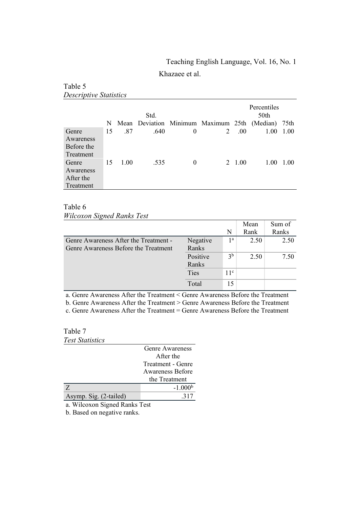# Teaching English Language, Vol. 16, No. 1

Khazaee et al.

| Descriptive Statistics                        |    |      |      |   |                                     |        |                     |      |
|-----------------------------------------------|----|------|------|---|-------------------------------------|--------|---------------------|------|
|                                               |    |      | Std. |   |                                     |        | Percentiles<br>50th |      |
|                                               | N  |      |      |   | Mean Deviation Minimum Maximum 25th |        | (Median) 75th       |      |
| Genre<br>Awareness<br>Before the<br>Treatment | 15 | .87  | .640 | 0 | 2                                   | .00.   | 1.00                | 1.00 |
| Genre<br>Awareness<br>After the<br>Treatment  | 15 | 1.00 | .535 | 0 |                                     | 2 1.00 | 1.00                | 1.00 |

## Table 6

Table 5

*Wilcoxon Signed Ranks Test*

|                                       |             |                 | Mean | Sum of |
|---------------------------------------|-------------|-----------------|------|--------|
|                                       |             | N               | Rank | Ranks  |
| Genre Awareness After the Treatment - | Negative    | 1 <sup>a</sup>  | 2.50 | 2.50   |
| Genre Awareness Before the Treatment  | Ranks       |                 |      |        |
|                                       | Positive    | 3 <sup>b</sup>  | 2.50 | 7.50   |
|                                       | Ranks       |                 |      |        |
|                                       | <b>Ties</b> | 11 <sup>c</sup> |      |        |
|                                       | Total       | 15              |      |        |

a. Genre Awareness After the Treatment < Genre Awareness Before the Treatment b. Genre Awareness After the Treatment > Genre Awareness Before the Treatment

c. Genre Awareness After the Treatment = Genre Awareness Before the Treatment

#### Table 7 *Test Statistics*

|                        | Genre Awareness   |
|------------------------|-------------------|
|                        | After the         |
|                        | Treatment - Genre |
|                        | Awareness Before  |
|                        | the Treatment     |
| Z                      | $-1.000b$         |
| Asymp. Sig. (2-tailed) |                   |

a. Wilcoxon Signed Ranks Test

b. Based on negative ranks.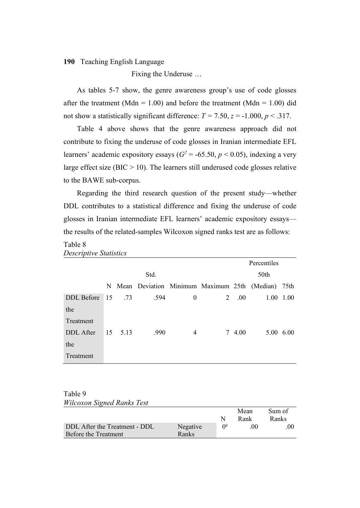Fixing the Underuse …

As tables 5-7 show, the genre awareness group's use of code glosses after the treatment (Mdn = 1.00) and before the treatment (Mdn = 1.00) did not show a statistically significant difference:  $T = 7.50$ ,  $z = -1.000$ ,  $p < .317$ .

Table 4 above shows that the genre awareness approach did not contribute to fixing the underuse of code glosses in Iranian intermediate EFL learners' academic expository essays ( $G^2$  = -65.50,  $p$  < 0.05), indexing a very large effect size ( $BIC > 10$ ). The learners still underused code glosses relative to the BAWE sub-corpus.

Regarding the third research question of the present study—whether DDL contributes to a statistical difference and fixing the underuse of code glosses in Iranian intermediate EFL learners' academic expository essays the results of the related-samples Wilcoxon signed ranks test are as follows:

# Table 8

|               |      |      |                                                     |          |   | Percentiles |      |           |  |      |  |
|---------------|------|------|-----------------------------------------------------|----------|---|-------------|------|-----------|--|------|--|
|               | Std. |      |                                                     |          |   |             |      |           |  | 50th |  |
|               |      |      | N Mean Deviation Minimum Maximum 25th (Median) 75th |          |   |             |      |           |  |      |  |
| DDL Before 15 |      | .73  | .594                                                | $\theta$ | 2 | .00.        | 1.00 | 1.00      |  |      |  |
| the           |      |      |                                                     |          |   |             |      |           |  |      |  |
| Treatment     |      |      |                                                     |          |   |             |      |           |  |      |  |
| DDL After     | 15   | 5.13 | .990                                                | 4        |   | 7 4.00      |      | 5.00 6.00 |  |      |  |
| the           |      |      |                                                     |          |   |             |      |           |  |      |  |
| Treatment     |      |      |                                                     |          |   |             |      |           |  |      |  |

*Descriptive Statistics*

Table 9 *Wilcoxon Signed Ranks Test*

|                               |          |          | Mean<br>Rank | Sum of<br>Ranks |
|-------------------------------|----------|----------|--------------|-----------------|
| DDL After the Treatment - DDL | Negative | $\Omega$ | $($ $()()$   | 00              |
| Before the Treatment          | Ranks    |          |              |                 |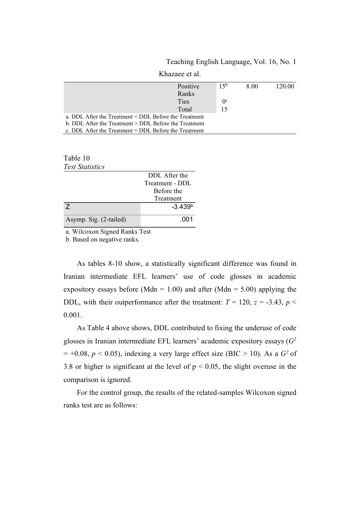|  |  | Teaching English Language, Vol. 16, No. 1 |  |
|--|--|-------------------------------------------|--|
|--|--|-------------------------------------------|--|

|                                                         | Knazaee et al. |             |      |        |  |
|---------------------------------------------------------|----------------|-------------|------|--------|--|
|                                                         | Positive       | $15^{b}$    | 8.00 | 120.00 |  |
|                                                         | Ranks          |             |      |        |  |
|                                                         | <b>Ties</b>    | $0^{\circ}$ |      |        |  |
|                                                         | Total          | 15          |      |        |  |
| a. DDL After the Treatment < DDL Before the Treatment   |                |             |      |        |  |
| b. DDL After the Treatment > DDL Before the Treatment   |                |             |      |        |  |
| c. DDL After the Treatment $=$ DDL Before the Treatment |                |             |      |        |  |

Khazaee et al.

| Table 10               |  |
|------------------------|--|
| <b>Test Statistics</b> |  |

|                        | DDL After the   |
|------------------------|-----------------|
|                        | Treatment - DDL |
|                        | Before the      |
|                        | Treatment       |
|                        | $-3.439b$       |
| Asymp. Sig. (2-tailed) | .001            |

a. Wilcoxon Signed Ranks Test

b. Based on negative ranks.

As tables 8-10 show, a statistically significant difference was found in Iranian intermediate EFL learners' use of code glosses in academic expository essays before (Mdn = 1.00) and after (Mdn = 5.00) applying the DDL, with their outperformance after the treatment:  $T = 120$ ,  $z = -3.43$ ,  $p <$ 0.001.

As Table 4 above shows, DDL contributed to fixing the underuse of code glosses in Iranian intermediate EFL learners' academic expository essays (*G2*  $= +0.08$ ,  $p < 0.05$ ), indexing a very large effect size (BIC > 10). As a  $G<sup>2</sup>$  of 3.8 or higher is significant at the level of  $p < 0.05$ , the slight overuse in the comparison is ignored.

For the control group, the results of the related-samples Wilcoxon signed ranks test are as follows: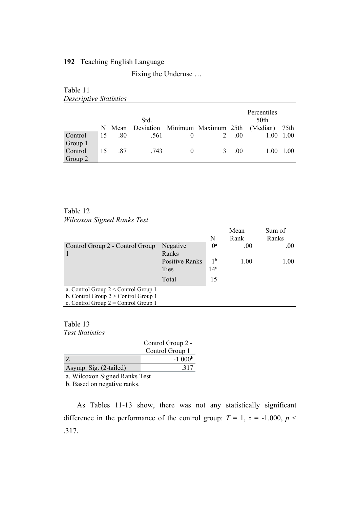Fixing the Underuse …

| Table 11                      |        |      |  |     |                                              |      |
|-------------------------------|--------|------|--|-----|----------------------------------------------|------|
| <b>Descriptive Statistics</b> |        |      |  |     |                                              |      |
|                               |        | Std. |  |     | Percentiles<br>50th                          |      |
|                               | N Mean |      |  |     | Deviation Minimum Maximum 25th (Median) 75th |      |
| Control                       | .80    | .561 |  | -00 | 100                                          | 1.00 |

15 .87 .743 0 3 .00 1.00 1.00

Table 12

*Wilcoxon Signed Ranks Test*

Group 1

Control Group 2

|                                                                                                                            |                               | N                                 | Mean<br>Rank | Sum of<br>Ranks |
|----------------------------------------------------------------------------------------------------------------------------|-------------------------------|-----------------------------------|--------------|-----------------|
| Control Group 2 - Control Group                                                                                            | Negative<br>Ranks             | $0^a$                             | .00          | .00.            |
|                                                                                                                            | <b>Positive Ranks</b><br>Ties | 1 <sup>b</sup><br>14 <sup>c</sup> | 1.00         | 1.00            |
|                                                                                                                            | Total                         | 15                                |              |                 |
| a. Control Group $2 <$ Control Group 1<br>b. Control Group $2 >$ Control Group 1<br>c. Control Group $2 =$ Control Group 1 |                               |                                   |              |                 |

Table 13 *Test Statistics*

|                        | Control Group 2 - |
|------------------------|-------------------|
|                        | Control Group 1   |
| -7.                    | $-1.000b$         |
| Asymp. Sig. (2-tailed) | .317              |
|                        |                   |

a. Wilcoxon Signed Ranks Test

b. Based on negative ranks.

As Tables 11-13 show, there was not any statistically significant difference in the performance of the control group:  $T = 1$ ,  $z = -1.000$ ,  $p <$ .317.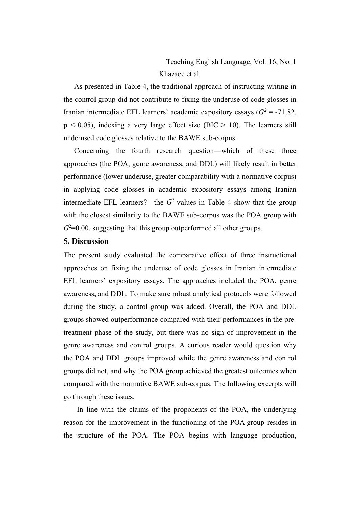As presented in Table 4, the traditional approach of instructing writing in the control group did not contribute to fixing the underuse of code glosses in Iranian intermediate EFL learners' academic expository essays  $(G^2 = -71.82)$ ,  $p < 0.05$ ), indexing a very large effect size (BIC  $> 10$ ). The learners still underused code glosses relative to the BAWE sub-corpus.

Concerning the fourth research question—which of these three approaches (the POA, genre awareness, and DDL) will likely result in better performance (lower underuse, greater comparability with a normative corpus) in applying code glosses in academic expository essays among Iranian intermediate EFL learners?—the  $G<sup>2</sup>$  values in Table 4 show that the group with the closest similarity to the BAWE sub-corpus was the POA group with *G*2 =0.00, suggesting that this group outperformed all other groups.

#### **5. Discussion**

The present study evaluated the comparative effect of three instructional approaches on fixing the underuse of code glosses in Iranian intermediate EFL learners' expository essays. The approaches included the POA, genre awareness, and DDL. To make sure robust analytical protocols were followed during the study, a control group was added. Overall, the POA and DDL groups showed outperformance compared with their performances in the pretreatment phase of the study, but there was no sign of improvement in the genre awareness and control groups. A curious reader would question why the POA and DDL groups improved while the genre awareness and control groups did not, and why the POA group achieved the greatest outcomes when compared with the normative BAWE sub-corpus. The following excerpts will go through these issues.

In line with the claims of the proponents of the POA, the underlying reason for the improvement in the functioning of the POA group resides in the structure of the POA. The POA begins with language production,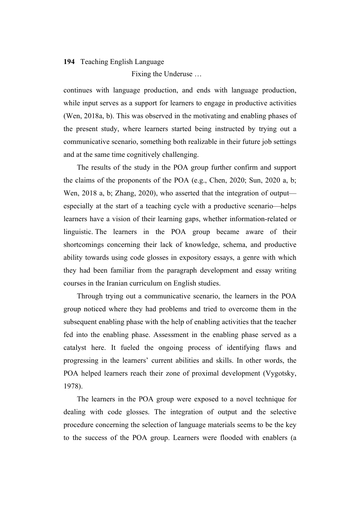Fixing the Underuse …

continues with language production, and ends with language production, while input serves as a support for learners to engage in productive activities (Wen, 2018a, b). This was observed in the motivating and enabling phases of the present study, where learners started being instructed by trying out a communicative scenario, something both realizable in their future job settings and at the same time cognitively challenging.

The results of the study in the POA group further confirm and support the claims of the proponents of the POA (e.g., Chen, 2020; Sun, 2020 a, b; Wen, 2018 a, b; Zhang, 2020), who asserted that the integration of output especially at the start of a teaching cycle with a productive scenario—helps learners have a vision of their learning gaps, whether information-related or linguistic. The learners in the POA group became aware of their shortcomings concerning their lack of knowledge, schema, and productive ability towards using code glosses in expository essays, a genre with which they had been familiar from the paragraph development and essay writing courses in the Iranian curriculum on English studies.

Through trying out a communicative scenario, the learners in the POA group noticed where they had problems and tried to overcome them in the subsequent enabling phase with the help of enabling activities that the teacher fed into the enabling phase. Assessment in the enabling phase served as a catalyst here. It fueled the ongoing process of identifying flaws and progressing in the learners' current abilities and skills. In other words, the POA helped learners reach their zone of proximal development (Vygotsky, 1978).

The learners in the POA group were exposed to a novel technique for dealing with code glosses. The integration of output and the selective procedure concerning the selection of language materials seems to be the key to the success of the POA group. Learners were flooded with enablers (a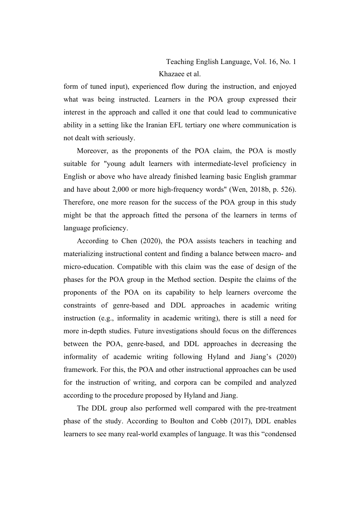Teaching English Language, Vol. 16, No. 1 Khazaee et al.

form of tuned input), experienced flow during the instruction, and enjoyed what was being instructed. Learners in the POA group expressed their interest in the approach and called it one that could lead to communicative ability in a setting like the Iranian EFL tertiary one where communication is not dealt with seriously.

Moreover, as the proponents of the POA claim, the POA is mostly suitable for "young adult learners with intermediate-level proficiency in English or above who have already finished learning basic English grammar and have about 2,000 or more high-frequency words" (Wen, 2018b, p. 526). Therefore, one more reason for the success of the POA group in this study might be that the approach fitted the persona of the learners in terms of language proficiency.

According to Chen (2020), the POA assists teachers in teaching and materializing instructional content and finding a balance between macro- and micro-education. Compatible with this claim was the ease of design of the phases for the POA group in the Method section. Despite the claims of the proponents of the POA on its capability to help learners overcome the constraints of genre-based and DDL approaches in academic writing instruction (e.g., informality in academic writing), there is still a need for more in-depth studies. Future investigations should focus on the differences between the POA, genre-based, and DDL approaches in decreasing the informality of academic writing following Hyland and Jiang's (2020) framework. For this, the POA and other instructional approaches can be used for the instruction of writing, and corpora can be compiled and analyzed according to the procedure proposed by Hyland and Jiang.

The DDL group also performed well compared with the pre-treatment phase of the study. According to Boulton and Cobb (2017), DDL enables learners to see many real-world examples of language. It was this "condensed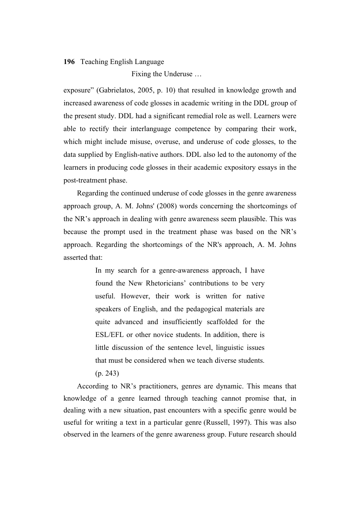Fixing the Underuse …

exposure" (Gabrielatos, 2005, p. 10) that resulted in knowledge growth and increased awareness of code glosses in academic writing in the DDL group of the present study. DDL had a significant remedial role as well. Learners were able to rectify their interlanguage competence by comparing their work, which might include misuse, overuse, and underuse of code glosses, to the data supplied by English-native authors. DDL also led to the autonomy of the learners in producing code glosses in their academic expository essays in the post-treatment phase.

Regarding the continued underuse of code glosses in the genre awareness approach group, A. M. Johns' (2008) words concerning the shortcomings of the NR's approach in dealing with genre awareness seem plausible. This was because the prompt used in the treatment phase was based on the NR's approach. Regarding the shortcomings of the NR's approach, A. M. Johns asserted that:

> In my search for a genre-awareness approach, I have found the New Rhetoricians' contributions to be very useful. However, their work is written for native speakers of English, and the pedagogical materials are quite advanced and insufficiently scaffolded for the ESL/EFL or other novice students. In addition, there is little discussion of the sentence level, linguistic issues that must be considered when we teach diverse students. (p. 243)

According to NR's practitioners, genres are dynamic. This means that knowledge of a genre learned through teaching cannot promise that, in dealing with a new situation, past encounters with a specific genre would be useful for writing a text in a particular genre (Russell, 1997). This was also observed in the learners of the genre awareness group. Future research should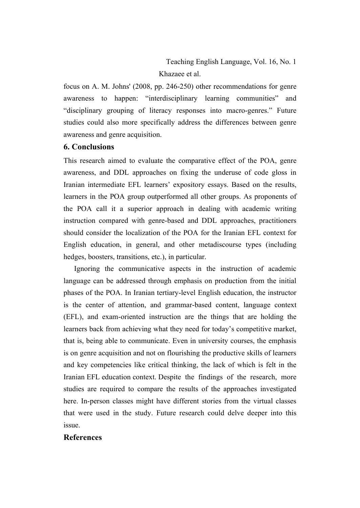focus on A. M. Johns' (2008, pp. 246-250) other recommendations for genre awareness to happen: "interdisciplinary learning communities" and "disciplinary grouping of literacy responses into macro-genres." Future studies could also more specifically address the differences between genre awareness and genre acquisition.

# **6. Conclusions**

This research aimed to evaluate the comparative effect of the POA, genre awareness, and DDL approaches on fixing the underuse of code gloss in Iranian intermediate EFL learners' expository essays. Based on the results, learners in the POA group outperformed all other groups. As proponents of the POA call it a superior approach in dealing with academic writing instruction compared with genre-based and DDL approaches, practitioners should consider the localization of the POA for the Iranian EFL context for English education, in general, and other metadiscourse types (including hedges, boosters, transitions, etc.), in particular.

Ignoring the communicative aspects in the instruction of academic language can be addressed through emphasis on production from the initial phases of the POA. In Iranian tertiary-level English education, the instructor is the center of attention, and grammar-based content, language context (EFL), and exam-oriented instruction are the things that are holding the learners back from achieving what they need for today's competitive market, that is, being able to communicate. Even in university courses, the emphasis is on genre acquisition and not on flourishing the productive skills of learners and key competencies like critical thinking, the lack of which is felt in the Iranian EFL education context. Despite the findings of the research, more studies are required to compare the results of the approaches investigated here. In-person classes might have different stories from the virtual classes that were used in the study. Future research could delve deeper into this issue.

# **References**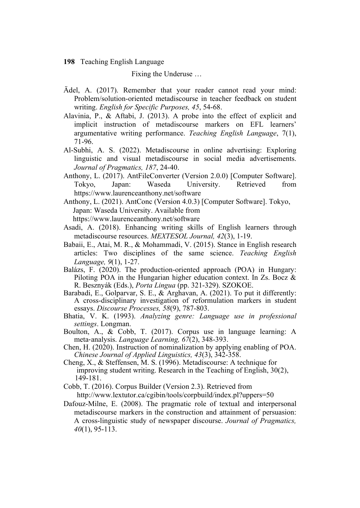Fixing the Underuse …

- Ädel, A. (2017). Remember that your reader cannot read your mind: Problem/solution-oriented metadiscourse in teacher feedback on student writing. *English for Specific Purposes, 45*, 54-68.
- Alavinia, P., & Aftabi, J. (2013). A probe into the effect of explicit and implicit instruction of metadiscourse markers on EFL learners' argumentative writing performance. *Teaching English Language*, 7(1), 71-96.
- Al-Subhi, A. S. (2022). Metadiscourse in online advertising: Exploring linguistic and visual metadiscourse in social media advertisements. *Journal of Pragmatics, 187*, 24-40.
- Anthony, L. (2017). AntFileConverter (Version 2.0.0) [Computer Software]. Tokyo, Japan: Waseda University. Retrieved from https://www.laurenceanthony.net/software
- Anthony, L. (2021). AntConc (Version 4.0.3) [Computer Software]. Tokyo, Japan: Waseda University. Available from https://www.laurenceanthony.net/software
- Asadi, A. (2018). Enhancing writing skills of English learners through metadiscourse resources. *MEXTESOL Journal, 42*(3), 1-19.
- Babaii, E., Atai, M. R., & Mohammadi, V. (2015). Stance in English research articles: Two disciplines of the same science. *Teaching English Language, 9*(1), 1-27.
- Balázs, F. (2020). The production-oriented approach (POA) in Hungary: Piloting POA in the Hungarian higher education context. In Zs. Bocz & R. Besznyák (Eds.), *Porta Lingua* (pp. 321-329). SZOKOE.
- Barabadi, E., Golparvar, S. E., & Arghavan, A. (2021). To put it differently: A cross-disciplinary investigation of reformulation markers in student essays. *Discourse Processes, 58*(9), 787-803.
- Bhatia, V. K. (1993). *Analyzing genre: Language use in professional settings*. Longman.
- Boulton, A., & Cobb, T. (2017). Corpus use in language learning: A meta‐analysis. *Language Learning, 67*(2), 348-393.
- Chen, H. (2020). Instruction of nominalization by applying enabling of POA. *Chinese Journal of Applied Linguistics, 43*(3), 342-358.
- Cheng, X., & Steffensen, M. S. (1996). Metadiscourse: A technique for improving student writing. Research in the Teaching of English, 30(2), 149-181.
- Cobb, T. (2016). Corpus Builder (Version 2.3). Retrieved from http://www.lextutor.ca/cgibin/tools/corpbuild/index.pl?uppers=50
- Dafouz-Milne, E. (2008). The pragmatic role of textual and interpersonal metadiscourse markers in the construction and attainment of persuasion: A cross-linguistic study of newspaper discourse. *Journal of Pragmatics, 40*(1), 95-113.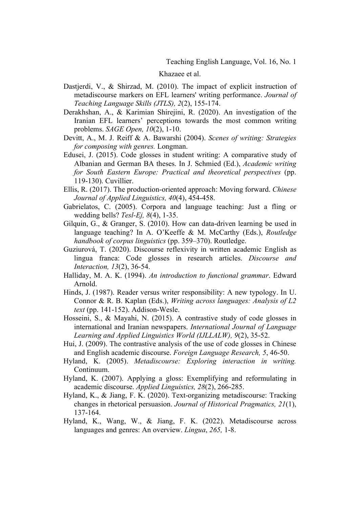Khazaee et al.

- Dastjerdi, V., & Shirzad, M. (2010). The impact of explicit instruction of metadiscourse markers on EFL learners' writing performance. *Journal of Teaching Language Skills (JTLS), 2*(2), 155-174.
- Derakhshan, A., & Karimian Shirejini, R. (2020). An investigation of the Iranian EFL learners' perceptions towards the most common writing problems. *SAGE Open, 10*(2), 1-10.
- Devitt, A., M. J. Reiff & A. Bawarshi (2004). *Scenes of writing: Strategies for composing with genres.* Longman.
- Edusei, J. (2015). Code glosses in student writing: A comparative study of Albanian and German BA theses. In J. Schmied (Ed.), *Academic writing for South Eastern Europe: Practical and theoretical perspectives* (pp. 119-130). Cuvillier.
- Ellis, R. (2017). The production-oriented approach: Moving forward. *Chinese Journal of Applied Linguistics, 40*(4), 454-458.
- Gabrielatos, C. (2005). Corpora and language teaching: Just a fling or wedding bells? *Tesl-Ej, 8*(4), 1-35.
- Gilquin, G., & Granger, S. (2010). How can data-driven learning be used in language teaching? In A. O'Keeffe & M. McCarthy (Eds.), *Routledge handbook of corpus linguistics* (pp. 359–370). Routledge.
- Guziurová, T. (2020). Discourse reflexivity in written academic English as lingua franca: Code glosses in research articles. *Discourse and Interaction, 13*(2), 36-54.
- Halliday, M. A. K. (1994). *An introduction to functional grammar*. Edward Arnold.
- Hinds, J. (1987). Reader versus writer responsibility: A new typology. In U. Connor & R. B. Kaplan (Eds.), *Writing across languages: Analysis of L2 text* (pp. 141-152). Addison-Wesle.
- Hosseini, S., & Mayahi, N. (2015). A contrastive study of code glosses in international and Iranian newspapers. *International Journal of Language Learning and Applied Linguistics World (IJLLALW), 9*(2), 35-52.
- Hui, J. (2009). The contrastive analysis of the use of code glosses in Chinese and English academic discourse. *Foreign Language Research, 5*, 46-50.
- Hyland, K. (2005). *Metadiscourse: Exploring interaction in writing.* Continuum.
- Hyland, K. (2007). Applying a gloss: Exemplifying and reformulating in academic discourse. *Applied Linguistics, 28*(2), 266-285.
- Hyland, K., & Jiang, F. K. (2020). Text-organizing metadiscourse: Tracking changes in rhetorical persuasion. *Journal of Historical Pragmatics, 21*(1), 137-164.
- Hyland, K., Wang, W., & Jiang, F. K. (2022). Metadiscourse across languages and genres: An overview. *Lingua*, *265,* 1-8.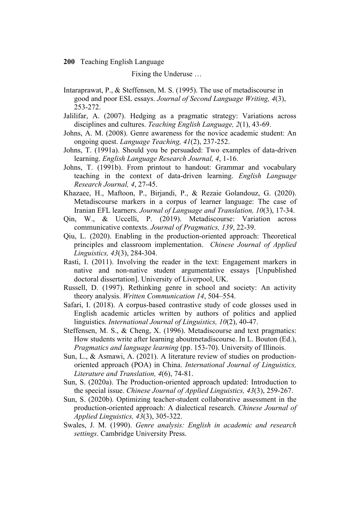Fixing the Underuse …

- Intaraprawat, P., & Steffensen, M. S. (1995). The use of metadiscourse in good and poor ESL essays. *Journal of Second Language Writing, 4*(3), 253-272.
- Jalilifar, A. (2007). Hedging as a pragmatic strategy: Variations across disciplines and cultures. *Teaching English Language, 2*(1), 43-69.
- Johns, A. M. (2008). Genre awareness for the novice academic student: An ongoing quest. *Language Teaching, 41*(2), 237-252.
- Johns, T. (1991a). Should you be persuaded: Two examples of data-driven learning. *English Language Research Journal, 4*, 1-16.
- Johns, T. (1991b). From printout to handout: Grammar and vocabulary teaching in the context of data-driven learning. *English Language Research Journal, 4*, 27-45.
- Khazaee, H., Maftoon, P., Birjandi, P., & Rezaie Golandouz, G. (2020). Metadiscourse markers in a corpus of learner language: The case of Iranian EFL learners. *Journal of Language and Translation, 10*(3), 17-34.
- Qin, W., & Uccelli, P. (2019). Metadiscourse: Variation across communicative contexts. *Journal of Pragmatics, 139*, 22-39.
- Qiu, L. (2020). Enabling in the production-oriented approach: Theoretical principles and classroom implementation. *Chinese Journal of Applied Linguistics, 43*(3), 284-304.
- Rasti, I. (2011). Involving the reader in the text: Engagement markers in native and non-native student argumentative essays [Unpublished doctoral dissertation]. University of Liverpool, UK.
- Russell, D. (1997). Rethinking genre in school and society: An activity theory analysis. *Written Communication 14*, 504–554.
- Safari, I. (2018). A corpus-based contrastive study of code glosses used in English academic articles written by authors of politics and applied linguistics. *International Journal of Linguistics, 10*(2), 40-47.
- Steffensen, M. S., & Cheng, X. (1996). Metadiscourse and text pragmatics: How students write after learning aboutmetadiscourse. In L. Bouton (Ed.), *Pragmatics and language learning* (pp. 153-70). University of Illinois.
- Sun, L., & Asmawi, A. (2021). A literature review of studies on productionoriented approach (POA) in China. *International Journal of Linguistics, Literature and Translation, 4*(6), 74-81.
- Sun, S. (2020a). The Production-oriented approach updated: Introduction to the special issue. *Chinese Journal of Applied Linguistics, 43*(3), 259-267.
- Sun, S. (2020b). Optimizing teacher-student collaborative assessment in the production-oriented approach: A dialectical research. *Chinese Journal of Applied Linguistics, 43*(3), 305-322.
- Swales, J. M. (1990). *Genre analysis: English in academic and research settings*. Cambridge University Press.